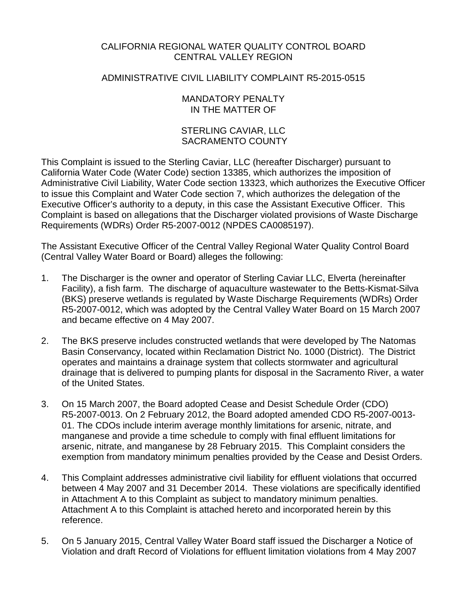# CALIFORNIA REGIONAL WATER QUALITY CONTROL BOARD CENTRAL VALLEY REGION

# ADMINISTRATIVE CIVIL LIABILITY COMPLAINT R5-2015-0515

## MANDATORY PENALTY IN THE MATTER OF

# STERLING CAVIAR, LLC SACRAMENTO COUNTY

This Complaint is issued to the Sterling Caviar, LLC (hereafter Discharger) pursuant to California Water Code (Water Code) section 13385, which authorizes the imposition of Administrative Civil Liability, Water Code section 13323, which authorizes the Executive Officer to issue this Complaint and Water Code section 7, which authorizes the delegation of the Executive Officer's authority to a deputy, in this case the Assistant Executive Officer. This Complaint is based on allegations that the Discharger violated provisions of Waste Discharge Requirements (WDRs) Order R5-2007-0012 (NPDES CA0085197).

The Assistant Executive Officer of the Central Valley Regional Water Quality Control Board (Central Valley Water Board or Board) alleges the following:

- 1. The Discharger is the owner and operator of Sterling Caviar LLC, Elverta (hereinafter Facility), a fish farm. The discharge of aquaculture wastewater to the Betts-Kismat-Silva (BKS) preserve wetlands is regulated by Waste Discharge Requirements (WDRs) Order R5-2007-0012, which was adopted by the Central Valley Water Board on 15 March 2007 and became effective on 4 May 2007.
- 2. The BKS preserve includes constructed wetlands that were developed by The Natomas Basin Conservancy, located within Reclamation District No. 1000 (District). The District operates and maintains a drainage system that collects stormwater and agricultural drainage that is delivered to pumping plants for disposal in the Sacramento River, a water of the United States.
- 3. On 15 March 2007, the Board adopted Cease and Desist Schedule Order (CDO) R5-2007-0013. On 2 February 2012, the Board adopted amended CDO R5-2007-0013- 01. The CDOs include interim average monthly limitations for arsenic, nitrate, and manganese and provide a time schedule to comply with final effluent limitations for arsenic, nitrate, and manganese by 28 February 2015. This Complaint considers the exemption from mandatory minimum penalties provided by the Cease and Desist Orders.
- 4. This Complaint addresses administrative civil liability for effluent violations that occurred between 4 May 2007 and 31 December 2014. These violations are specifically identified in Attachment A to this Complaint as subject to mandatory minimum penalties. Attachment A to this Complaint is attached hereto and incorporated herein by this reference.
- 5. On 5 January 2015, Central Valley Water Board staff issued the Discharger a Notice of Violation and draft Record of Violations for effluent limitation violations from 4 May 2007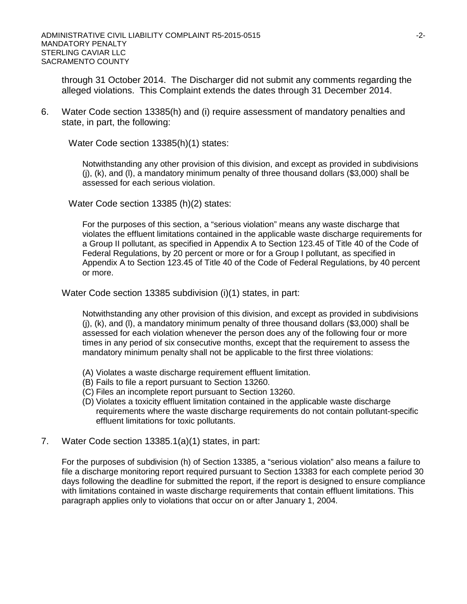through 31 October 2014. The Discharger did not submit any comments regarding the alleged violations. This Complaint extends the dates through 31 December 2014.

6. Water Code section 13385(h) and (i) require assessment of mandatory penalties and state, in part, the following:

Water Code section 13385(h)(1) states:

Notwithstanding any other provision of this division, and except as provided in subdivisions (j), (k), and (l), a mandatory minimum penalty of three thousand dollars (\$3,000) shall be assessed for each serious violation.

Water Code section 13385 (h)(2) states:

For the purposes of this section, a "serious violation" means any waste discharge that violates the effluent limitations contained in the applicable waste discharge requirements for a Group II pollutant, as specified in Appendix A to Section 123.45 of Title 40 of the Code of Federal Regulations, by 20 percent or more or for a Group I pollutant, as specified in Appendix A to Section 123.45 of Title 40 of the Code of Federal Regulations, by 40 percent or more.

Water Code section 13385 subdivision (i)(1) states, in part:

Notwithstanding any other provision of this division, and except as provided in subdivisions (j), (k), and (l), a mandatory minimum penalty of three thousand dollars (\$3,000) shall be assessed for each violation whenever the person does any of the following four or more times in any period of six consecutive months, except that the requirement to assess the mandatory minimum penalty shall not be applicable to the first three violations:

- (A) Violates a waste discharge requirement effluent limitation.
- (B) Fails to file a report pursuant to Section 13260.
- (C) Files an incomplete report pursuant to Section 13260.
- (D) Violates a toxicity effluent limitation contained in the applicable waste discharge requirements where the waste discharge requirements do not contain pollutant-specific effluent limitations for toxic pollutants.
- 7. Water Code section 13385.1(a)(1) states, in part:

For the purposes of subdivision (h) of Section 13385, a "serious violation" also means a failure to file a discharge monitoring report required pursuant to Section 13383 for each complete period 30 days following the deadline for submitted the report, if the report is designed to ensure compliance with limitations contained in waste discharge requirements that contain effluent limitations. This paragraph applies only to violations that occur on or after January 1, 2004.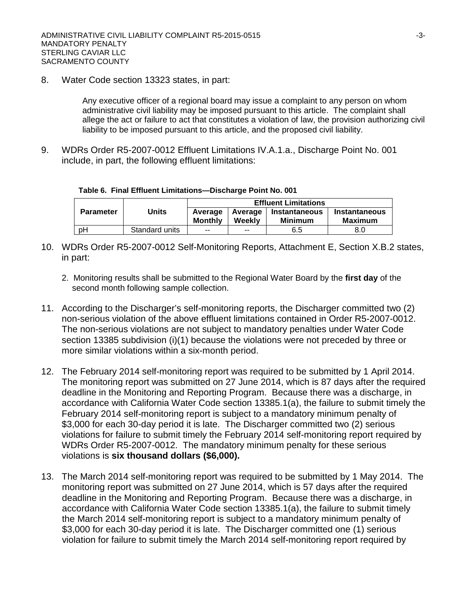8. Water Code section 13323 states, in part:

Any executive officer of a regional board may issue a complaint to any person on whom administrative civil liability may be imposed pursuant to this article. The complaint shall allege the act or failure to act that constitutes a violation of law, the provision authorizing civil liability to be imposed pursuant to this article, and the proposed civil liability.

9. WDRs Order R5-2007-0012 Effluent Limitations IV.A.1.a., Discharge Point No. 001 include, in part, the following effluent limitations:

|  |  |  |  | Table 6. Final Effluent Limitations--Discharge Point No. 001 |  |  |  |
|--|--|--|--|--------------------------------------------------------------|--|--|--|
|--|--|--|--|--------------------------------------------------------------|--|--|--|

|                  |                | <b>Effluent Limitations</b> |                          |                                        |                          |  |  |
|------------------|----------------|-----------------------------|--------------------------|----------------------------------------|--------------------------|--|--|
| <b>Parameter</b> | Units          | Average<br><b>Monthly</b>   | Average<br>Weekly        | <b>Instantaneous</b><br><b>Minimum</b> | Instantaneous<br>Maximum |  |  |
| рH               | Standard units | $- -$                       | $\overline{\phantom{a}}$ | 6.5                                    | 8.0                      |  |  |

- 10. WDRs Order R5-2007-0012 Self-Monitoring Reports, Attachment E, Section X.B.2 states, in part:
	- 2. Monitoring results shall be submitted to the Regional Water Board by the **first day** of the second month following sample collection.
- 11. According to the Discharger's self-monitoring reports, the Discharger committed two (2) non-serious violation of the above effluent limitations contained in Order R5-2007-0012. The non-serious violations are not subject to mandatory penalties under Water Code section 13385 subdivision (i)(1) because the violations were not preceded by three or more similar violations within a six-month period.
- 12. The February 2014 self-monitoring report was required to be submitted by 1 April 2014. The monitoring report was submitted on 27 June 2014, which is 87 days after the required deadline in the Monitoring and Reporting Program. Because there was a discharge, in accordance with California Water Code section 13385.1(a), the failure to submit timely the February 2014 self-monitoring report is subject to a mandatory minimum penalty of \$3,000 for each 30-day period it is late. The Discharger committed two (2) serious violations for failure to submit timely the February 2014 self-monitoring report required by WDRs Order R5-2007-0012. The mandatory minimum penalty for these serious violations is **six thousand dollars (\$6,000).**
- 13. The March 2014 self-monitoring report was required to be submitted by 1 May 2014. The monitoring report was submitted on 27 June 2014, which is 57 days after the required deadline in the Monitoring and Reporting Program. Because there was a discharge, in accordance with California Water Code section 13385.1(a), the failure to submit timely the March 2014 self-monitoring report is subject to a mandatory minimum penalty of \$3,000 for each 30-day period it is late. The Discharger committed one (1) serious violation for failure to submit timely the March 2014 self-monitoring report required by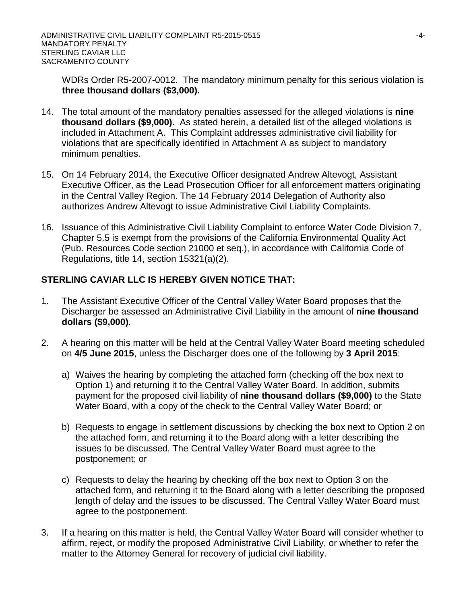WDRs Order R5-2007-0012. The mandatory minimum penalty for this serious violation is **three thousand dollars (\$3,000).**

- 14. The total amount of the mandatory penalties assessed for the alleged violations is **nine thousand dollars (\$9,000).** As stated herein, a detailed list of the alleged violations is included in Attachment A. This Complaint addresses administrative civil liability for violations that are specifically identified in Attachment A as subject to mandatory minimum penalties.
- 15. On 14 February 2014, the Executive Officer designated Andrew Altevogt, Assistant Executive Officer, as the Lead Prosecution Officer for all enforcement matters originating in the Central Valley Region. The 14 February 2014 Delegation of Authority also authorizes Andrew Altevogt to issue Administrative Civil Liability Complaints.
- 16. Issuance of this Administrative Civil Liability Complaint to enforce Water Code Division 7, Chapter 5.5 is exempt from the provisions of the California Environmental Quality Act (Pub. Resources Code section 21000 et seq.), in accordance with California Code of Regulations, title 14, section 15321(a)(2).

# **STERLING CAVIAR LLC IS HEREBY GIVEN NOTICE THAT:**

- 1. The Assistant Executive Officer of the Central Valley Water Board proposes that the Discharger be assessed an Administrative Civil Liability in the amount of **nine thousand dollars (\$9,000)**.
- 2. A hearing on this matter will be held at the Central Valley Water Board meeting scheduled on **4/5 June 2015**, unless the Discharger does one of the following by **3 April 2015**:
	- a) Waives the hearing by completing the attached form (checking off the box next to Option 1) and returning it to the Central Valley Water Board. In addition, submits payment for the proposed civil liability of **nine thousand dollars (\$9,000)** to the State Water Board, with a copy of the check to the Central Valley Water Board; or
	- b) Requests to engage in settlement discussions by checking the box next to Option 2 on the attached form, and returning it to the Board along with a letter describing the issues to be discussed. The Central Valley Water Board must agree to the postponement; or
	- c) Requests to delay the hearing by checking off the box next to Option 3 on the attached form, and returning it to the Board along with a letter describing the proposed length of delay and the issues to be discussed. The Central Valley Water Board must agree to the postponement.
- 3. If a hearing on this matter is held, the Central Valley Water Board will consider whether to affirm, reject, or modify the proposed Administrative Civil Liability, or whether to refer the matter to the Attorney General for recovery of judicial civil liability.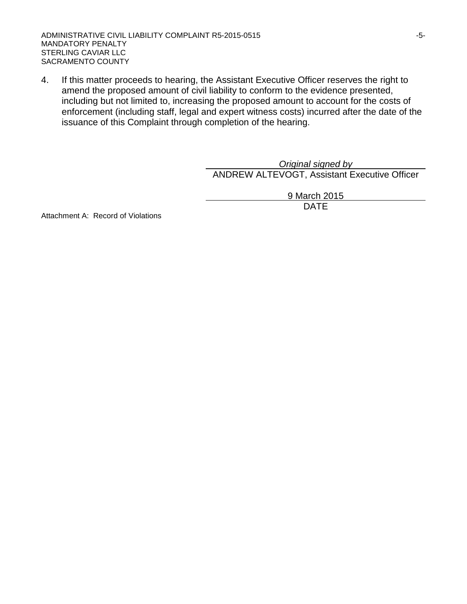ADMINISTRATIVE CIVIL LIABILITY COMPLAINT R5-2015-0515 FOR THE SERVICE OF SALE ASSESSED. MANDATORY PENALTY STERLING CAVIAR LLC SACRAMENTO COUNTY

4. If this matter proceeds to hearing, the Assistant Executive Officer reserves the right to amend the proposed amount of civil liability to conform to the evidence presented, including but not limited to, increasing the proposed amount to account for the costs of enforcement (including staff, legal and expert witness costs) incurred after the date of the issuance of this Complaint through completion of the hearing.

> *Original signed by* ANDREW ALTEVOGT, Assistant Executive Officer

> > 9 March 2015 DATE

Attachment A: Record of Violations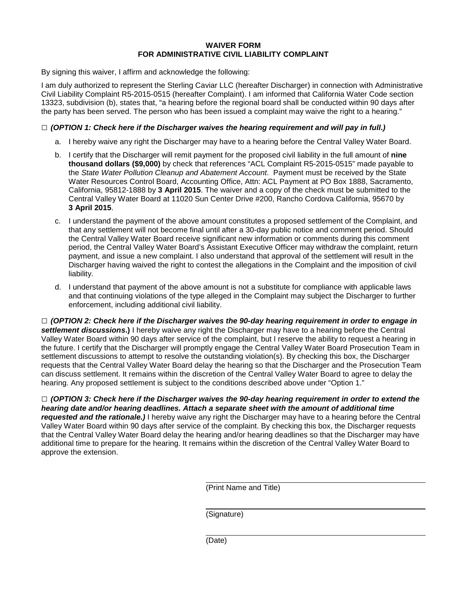### **WAIVER FORM FOR ADMINISTRATIVE CIVIL LIABILITY COMPLAINT**

By signing this waiver, I affirm and acknowledge the following:

I am duly authorized to represent the Sterling Caviar LLC (hereafter Discharger) in connection with Administrative Civil Liability Complaint R5-2015-0515 (hereafter Complaint). I am informed that California Water Code section 13323, subdivision (b), states that, "a hearing before the regional board shall be conducted within 90 days after the party has been served. The person who has been issued a complaint may waive the right to a hearing."

## **□** *(OPTION 1: Check here if the Discharger waives the hearing requirement and will pay in full.)*

- a. I hereby waive any right the Discharger may have to a hearing before the Central Valley Water Board.
- b. I certify that the Discharger will remit payment for the proposed civil liability in the full amount of **nine thousand dollars (\$9,000)** by check that references "ACL Complaint R5-2015-0515" made payable to the *State Water Pollution Cleanup and Abatement Account*. Payment must be received by the State Water Resources Control Board, Accounting Office, Attn: ACL Payment at PO Box 1888, Sacramento, California, 95812-1888 by **3 April 2015**. The waiver and a copy of the check must be submitted to the Central Valley Water Board at 11020 Sun Center Drive #200, Rancho Cordova California, 95670 by **3 April 2015**.
- c. I understand the payment of the above amount constitutes a proposed settlement of the Complaint, and that any settlement will not become final until after a 30-day public notice and comment period. Should the Central Valley Water Board receive significant new information or comments during this comment period, the Central Valley Water Board's Assistant Executive Officer may withdraw the complaint, return payment, and issue a new complaint. I also understand that approval of the settlement will result in the Discharger having waived the right to contest the allegations in the Complaint and the imposition of civil liability.
- d. I understand that payment of the above amount is not a substitute for compliance with applicable laws and that continuing violations of the type alleged in the Complaint may subject the Discharger to further enforcement, including additional civil liability.

**□** *(OPTION 2: Check here if the Discharger waives the 90-day hearing requirement in order to engage in settlement discussions***.)** I hereby waive any right the Discharger may have to a hearing before the Central Valley Water Board within 90 days after service of the complaint, but I reserve the ability to request a hearing in the future. I certify that the Discharger will promptly engage the Central Valley Water Board Prosecution Team in settlement discussions to attempt to resolve the outstanding violation(s). By checking this box, the Discharger requests that the Central Valley Water Board delay the hearing so that the Discharger and the Prosecution Team can discuss settlement. It remains within the discretion of the Central Valley Water Board to agree to delay the hearing. Any proposed settlement is subject to the conditions described above under "Option 1."

**□** *(OPTION 3: Check here if the Discharger waives the 90-day hearing requirement in order to extend the hearing date and/or hearing deadlines. Attach a separate sheet with the amount of additional time requested and the rationale.)* I hereby waive any right the Discharger may have to a hearing before the Central Valley Water Board within 90 days after service of the complaint. By checking this box, the Discharger requests that the Central Valley Water Board delay the hearing and/or hearing deadlines so that the Discharger may have additional time to prepare for the hearing. It remains within the discretion of the Central Valley Water Board to approve the extension.

(Print Name and Title)

(Signature)

(Date)